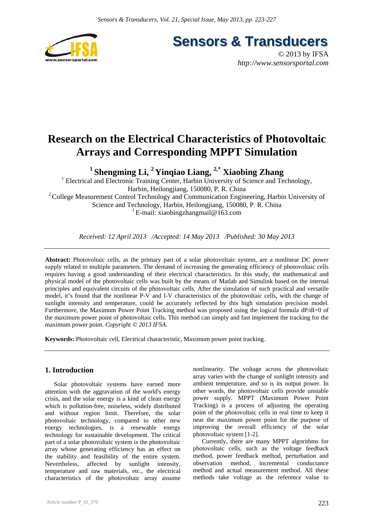

**Sensors & Transducers** 

© 2013 by IFSA *http://www.sensorsportal.com*

# **Research on the Electrical Characteristics of Photovoltaic Arrays and Corresponding MPPT Simulation**

**1 Shengming Li, 2 Yinqiao Liang, 2,\* Xiaobing Zhang** 

<sup>1</sup> Electrical and Electronic Training Center, Harbin University of Science and Technology, Harbin, Heilongjiang, 150080, P. R. China <sup>2</sup> College Measurement Control Technology and Communication Engineering, Harbin University of Science and Technology, Harbin, Heilongjiang, 150080, P. R. China <sup>1</sup> E-mail: xiaobingzhangmail@163.com

*Received: 12 April 2013 /Accepted: 14 May 2013 /Published: 30 May 2013* 

**Abstract:** Photovoltaic cells, as the primary part of a solar photovoltaic system, are a nonlinear DC power supply related to multiple parameters. The demand of increasing the generating efficiency of photovoltaic cells requires having a good understanding of their electrical characteristics. In this study, the mathematical and physical model of the photovoltaic cells was built by the means of Matlab and Simulink based on the internal principles and equivalent circuits of the photovoltaic cells. After the simulation of such practical and versatile model, it's found that the nonlinear P-V and I-V characteristics of the photovoltaic cells, with the change of sunlight intensity and temperature, could be accurately reflected by this high simulation precision model. Furthermore, the Maximum Power Point Tracking method was proposed using the logical formula dP/dI=0 of the maximum power point of photovoltaic cells. This method can simply and fast implement the tracking for the maximum power point. *Copyright © 2013 IFSA.*

**Keywords:** Photovoltaic cell, Electrical characteristic, Maximum power point tracking.

## **1. Introduction**

Solar photovoltaic systems have earned more attention with the aggravation of the world's energy crisis, and the solar energy is a kind of clean energy which is pollution-free, noiseless, widely distributed and without region limit. Therefore, the solar photovoltaic technology, compared to other new energy technologies, is a renewable energy technology for sustainable development. The critical part of a solar photovoltaic system is the photovoltaic array whose generating efficiency has an effect on the stability and feasibility of the entire system. Nevertheless, affected by sunlight intensity, temperature and raw materials, etc., the electrical characteristics of the photovoltaic array assume

Article number P\_SI\_370

nonlinearity. The voltage across the photovoltaic array varies with the change of sunlight intensity and ambient temperature, and so is its output power. In other words, the photovoltaic cells provide unstable power supply. MPPT (Maximum Power Point Tracking) is a process of adjusting the operating point of the photovoltaic cells in real time to keep it near the maximum power point for the purpose of improving the overall efficiency of the solar photovoltaic system [1-2].

Currently, there are many MPPT algorithms for photovoltaic cells, such as the voltage feedback method, power feedback method, perturbation and observation method, incremental conductance method and actual measurement method. All these methods take voltage as the reference value to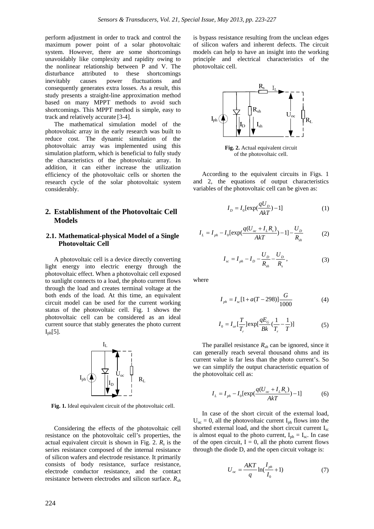perform adjustment in order to track and control the maximum power point of a solar photovoltaic system. However, there are some shortcomings unavoidably like complexity and rapidity owing to the nonlinear relationship between P and V. The disturbance attributed to these shortcomings inevitably causes power fluctuations and consequently generates extra losses. As a result, this study presents a straight-line approximation method based on many MPPT methods to avoid such shortcomings. This MPPT method is simple, easy to track and relatively accurate [3-4].

The mathematical simulation model of the photovoltaic array in the early research was built to reduce cost. The dynamic simulation of the photovoltaic array was implemented using this simulation platform, which is beneficial to fully study the characteristics of the photovoltaic array. In addition, it can either increase the utilization efficiency of the photovoltaic cells or shorten the research cycle of the solar photovoltaic system considerably.

## **2. Establishment of the Photovoltaic Cell Models**

#### **2.1. Mathematical-physical Model of a Single Photovoltaic Cell**

A photovoltaic cell is a device directly converting light energy into electric energy through the photovoltaic effect. When a photovoltaic cell exposed to sunlight connects to a load, the photo current flows through the load and creates terminal voltage at the both ends of the load. At this time, an equivalent circuit model can be used for the current working status of the photovoltaic cell. Fig. 1 shows the photovoltaic cell can be considered as an ideal current source that stably generates the photo current  $I_{ph}[5]$ .



**Fig. 1.** Ideal equivalent circuit of the photovoltaic cell.

Considering the effects of the photovoltaic cell resistance on the photovoltaic cell's properties, the actual equivalent circuit is shown in Fig. 2.  $R_s$  is the series resistance composed of the internal resistance of silicon wafers and electrode resistance. It primarily consists of body resistance, surface resistance, electrode conductor resistance, and the contact resistance between electrodes and silicon surface. *Rsh*

is bypass resistance resulting from the unclean edges of silicon wafers and inherent defects. The circuit models can help to have an insight into the working principle and electrical characteristics of the photovoltaic cell.



**Fig. 2.** Actual equivalent circuit of the photovoltaic cell.

According to the equivalent circuits in Figs. 1 and 2, the equations of output characteristics variables of the photovoltaic cell can be given as:

$$
I_D = I_0 \left[ \exp(\frac{qU_D}{AKT}) - 1 \right] \tag{1}
$$

$$
I_{L} = I_{ph} - I_{0} [\exp(\frac{q(U_{oc} + I_{L}R_{s})}{AKT}) - 1] - \frac{U_{D}}{R_{sh}}
$$
(2)

$$
I_{sc} = I_{ph} - I_D - \frac{U_D}{R_{sh}} - \frac{U_D}{R_s},
$$
 (3)

where

$$
I_{ph} = I_{sc}[1 + a(T - 298)] \frac{G}{1000}
$$
 (4)

$$
I_0 = I_{or} \left[ \frac{T}{T_r} \right] \exp[\frac{qE_G}{Bk} (\frac{1}{T_r} - \frac{1}{T})]
$$
 (5)

The parallel resistance  $R_{sh}$  can be ignored, since it can generally reach several thousand ohms and its current value is far less than the photo current's. So we can simplify the output characteristic equation of the photovoltaic cell as:

$$
I_{L} = I_{ph} - I_{0} [\exp(\frac{q(U_{oc} + I_{L}R_{s})}{AkT}) - 1]
$$
 (6)

In case of the short circuit of the external load,  $U_{\text{oc}} = 0$ , all the photovoltaic current I<sub>ph</sub> flows into the shorted external load, and the short circuit current  $I_{\rm sc}$ is almost equal to the photo current,  $I_{ph} = I_{sc}$ . In case of the open circuit,  $I = 0$ , all the photo current flows through the diode D, and the open circuit voltage is:

$$
U_{oc} = \frac{AKT}{q} \ln(\frac{I_{ph}}{I_0} + 1)
$$
 (7)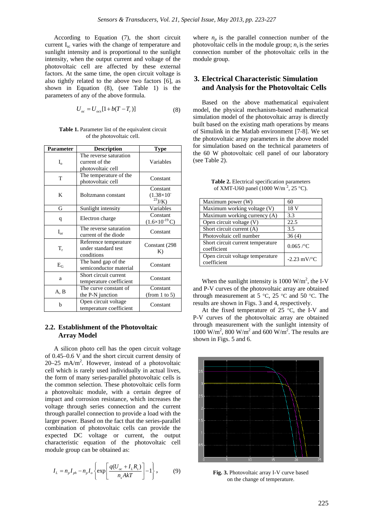According to Equation (7), the short circuit current Isc varies with the change of temperature and sunlight intensity and is proportional to the sunlight intensity, when the output current and voltage of the photovoltaic cell are affected by these external factors. At the same time, the open circuit voltage is also tightly related to the above two factors [6], as shown in Equation (8), (see Table 1) is the parameters of any of the above formula.

$$
U_{oc} = U_{ocs} [1 + b(T - T_r)]
$$
 (8)

**Table 1.** Parameter list of the equivalent circuit of the photovoltaic cell.

| Parameter       | <b>Description</b>                                            | Type                                              |
|-----------------|---------------------------------------------------------------|---------------------------------------------------|
| $I_{\alpha}$    | The reverse saturation<br>current of the<br>photovoltaic cell | Variables                                         |
| T               | The temperature of the<br>photovoltaic cell                   | Constant                                          |
| K               | Boltzmann constant                                            | Constant<br>$(1.38\times10^{-7})$<br>$^{23}J/K$ ) |
| G               | Sunlight intensity                                            | Variables                                         |
| q               | Electron charge                                               | Constant<br>$(1.6\times10^{-19} \text{C})$        |
| $I_{\text{or}}$ | The reverse saturation<br>current of the diode                | Constant                                          |
| T,              | Reference temperature<br>under standard test<br>conditions    | Constant (298)<br>K)                              |
| $E_G$           | The band gap of the<br>semiconductor material                 | Constant                                          |
| a               | Short circuit current<br>temperature coefficient              | Constant                                          |
| A, B            | The curve constant of<br>the P-N junction                     | Constant<br>(from 1 to 5)                         |
| b               | Open circuit voltage<br>temperature coefficient               | Constant                                          |

### **2.2. Establishment of the Photovoltaic Array Model**

A silicon photo cell has the open circuit voltage of 0.45–0.6 V and the short circuit current density of  $20-25$  mA/m<sup>2</sup>. However, instead of a photovoltaic cell which is rarely used individually in actual lives, the form of many series-parallel photovoltaic cells is the common selection. These photovoltaic cells form a photovoltaic module, with a certain degree of impact and corrosion resistance, which increases the voltage through series connection and the current through parallel connection to provide a load with the larger power. Based on the fact that the series-parallel combination of photovoltaic cells can provide the expected DC voltage or current, the output characteristic equation of the photovoltaic cell module group can be obtained as:

$$
I_L = n_p I_{ph} - n_p I_o \left\{ \exp \left[ \frac{q(U_{oc} + I_L R_s)}{n_s A k T} \right] - 1 \right\},\tag{9}
$$

where  $n_p$  is the parallel connection number of the photovoltaic cells in the module group;  $n<sub>s</sub>$  is the series connection number of the photovoltaic cells in the module group.

## **3. Electrical Characteristic Simulation and Analysis for the Photovoltaic Cells**

Based on the above mathematical equivalent model, the physical mechanism-based mathematical simulation model of the photovoltaic array is directly built based on the existing math operations by means of Simulink in the Matlab environment [7-8]. We set the photovoltaic array parameters in the above model for simulation based on the technical parameters of the 60 W photovoltaic cell panel of our laboratory (see Table 2).

**Table 2.** Electrical specification parameters of XMT-U60 panel (1000 W/m<sup>2</sup>, 25 °C).

| Maximum power (W)                                | 60                       |
|--------------------------------------------------|--------------------------|
| Maximum working voltage (V)                      | 18 V                     |
| Maximum working currency (A)                     | 3.3                      |
| Open circuit voltage (V)                         | 22.5                     |
| Short circuit current (A)                        | 3.5                      |
| Photovoltaic cell number                         | 36(4)                    |
| Short circuit current temperature<br>coefficient | $0.065$ /°C              |
| Open circuit voltage temperature<br>coefficient  | $-2.23$ mV/ $^{\circ}$ C |

When the sunlight intensity is 1000  $W/m^2$ , the I-V and P-V curves of the photovoltaic array are obtained through measurement at 5 °C, 25 °C and 50 °C. The results are shown in Figs. 3 and 4, respectively.

At the fixed temperature of  $25^{\circ}$ C, the I-V and P-V curves of the photovoltaic array are obtained through measurement with the sunlight intensity of 1000 W/m<sup>2</sup>, 800 W/m<sup>2</sup> and 600 W/m<sup>2</sup>. The results are shown in Figs. 5 and 6.



**Fig. 3.** Photovoltaic array I-V curve based on the change of temperature.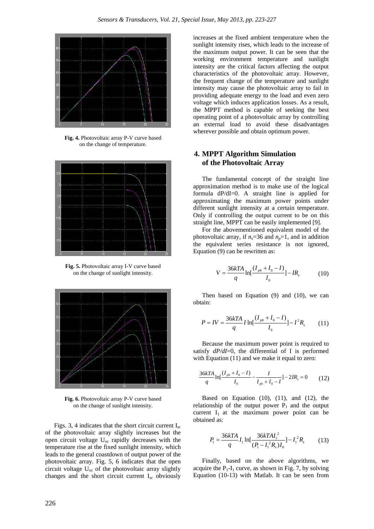

**Fig. 4.** Photovoltaic array P-V curve based on the change of temperature.



**Fig. 5.** Photovoltaic array I-V curve based on the change of sunlight intensity.



**Fig. 6.** Photovoltaic array P-V curve based on the change of sunlight intensity.

Figs. 3, 4 indicates that the short circuit current  $I_{\rm sc}$ of the photovoltaic array slightly increases but the open circuit voltage  $U_{\text{oc}}$  rapidly decreases with the temperature rise at the fixed sunlight intensity, which leads to the general coastdown of output power of the photovoltaic array. Fig. 5, 6 indicates that the open circuit voltage  $U_{\text{oc}}$  of the photovoltaic array slightly changes and the short circuit current I<sub>sc</sub> obviously

increases at the fixed ambient temperature when the sunlight intensity rises, which leads to the increase of the maximum output power. It can be seen that the working environment temperature and sunlight intensity are the critical factors affecting the output characteristics of the photovoltaic array. However, the frequent change of the temperature and sunlight intensity may cause the photovoltaic array to fail in providing adequate energy to the load and even zero voltage which induces application losses. As a result, the MPPT method is capable of seeking the best operating point of a photovoltaic array by controlling an external load to avoid these disadvantages wherever possible and obtain optimum power.

## **4. MPPT Algorithm Simulation of the Photovoltaic Array**

The fundamental concept of the straight line approximation method is to make use of the logical formula dP/dI=0. A straight line is applied for approximating the maximum power points under different sunlight intensity at a certain temperature. Only if controlling the output current to be on this straight line, MPPT can be easily implemented [9].

For the abovementioned equivalent model of the photovoltaic array, if  $n_s$ =36 and  $n_p$ =1, and in addition the equivalent series resistance is not ignored, Equation (9) can be rewritten as:

$$
V = \frac{36kTA}{q} \ln[\frac{(I_{ph} + I_0 - I)}{I_0}] - IR_s
$$
 (10)

Then based on Equation (9) and (10), we can obtain:

$$
P = IV = \frac{36kTA}{q} I \ln[\frac{(I_{ph} + I_0 - I)}{I_0}] - I^2 R_s \tag{11}
$$

Because the maximum power point is required to satisfy  $dP/dI=0$ , the differential of I is performed with Equation (11) and we make it equal to zero:

$$
\frac{36kTA}{q}\ln\left[\frac{(I_{ph}+I_0-I)}{I_0}-\frac{I}{I_{ph}+I_0-I}\right]-2IR_s=0
$$
 (12)

Based on Equation  $(10)$ ,  $(11)$ , and  $(12)$ , the relationship of the output power  $P_1$  and the output current  $I_1$  at the maximum power point can be obtained as:

$$
P_1 = \frac{36kTA}{q} I_1 \ln[\frac{36kTAI_1^2}{(P_1 - I_1^2 R_s)I_0}] - I_1^2 R_s \tag{13}
$$

Finally, based on the above algorithms, we acquire the  $P_1-I_1$  curve, as shown in Fig. 7, by solving Equation (10-13) with Matlab. It can be seen from